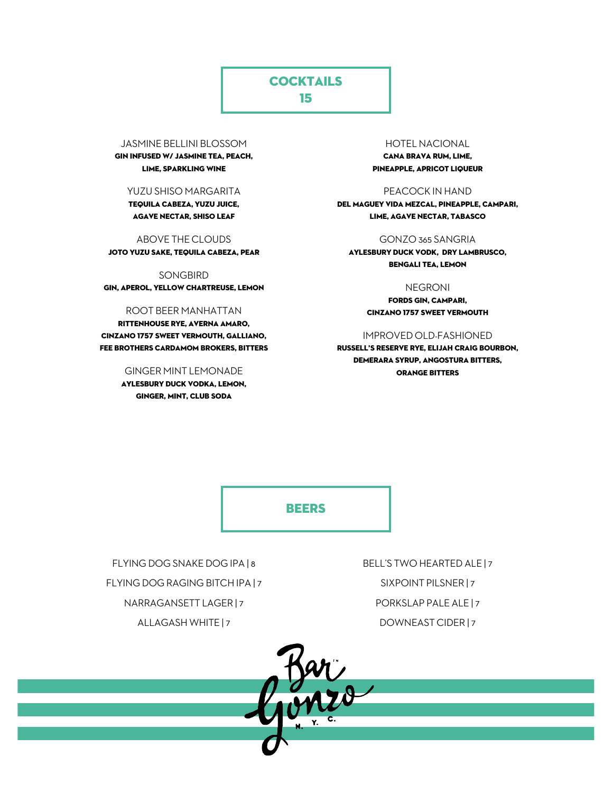## **COCKTAILS**

15

#### JASMINE BELLINI BLOSSOM

GIN INFUSED W/ JASMINE TEA, PEACH, LIME, SPARKLING WINE

#### YUZU SHISO MARGARITA

TEQUILA CABEZA, YUZU JUICE, AGAVE NECTAR, SHISO LEAF

#### ABOVE THE CLOUDS

JOTO YUZU SAKE, TEQUILA CABEZA, PEAR

#### SONGBIRD

GIN, APEROL, YELLOW CHARTREUSE, LEMON

#### ROOT BEER MANHATTAN

RITTENHOUSE RYE, AVERNA AMARO, CINZANO 1757 SWEET VERMOUTH, GALLIANO, FEE BROTHERS CARDAMOM BROKERS, BITTERS

#### GINGER MINT LEMONADE

AYLESBURY DUCK VODKA, LEMON, GINGER, MINT, CLUB SODA

## HOTEL NACIONAL

CANA BRAVA RUM, LIME, PINEAPPLE, APRICOT LIQUEUR

#### PEACOCK IN HAND

DEL MAGUEY VIDA MEZCAL, PINEAPPLE, CAMPARI, LIME, AGAVE NECTAR, TABASCO

#### GONZO 365 SANGRIA

AYLESBURY DUCK VODK, DRY LAMBRUSCO, BENGALI TEA, LEMON

#### NEGRONI

FORDS GIN, CAMPARI, CINZANO 1757 SWEET VERMOUTH

#### IMPROVED OLD-FASHIONED

RUSSELL'S RESERVE RYE, ELIJAH CRAIG BOURBON, DEMERARA SYRUP, ANGOSTURA BITTERS, ORANGE BITTERS

**BEERS** 

FLYING DOG SNAKE DOG IPA | 8 FLYING DOG RAGING BITCH IPA | 7 NARRAGANSETT LAGER | 7 ALLAGASH WHITE | 7

BELL'S TWO HEARTED ALE | 7 SIXPOINT PILSNER | 7 PORKSLAP PALE ALE | 7 DOWNEAST CIDER | 7

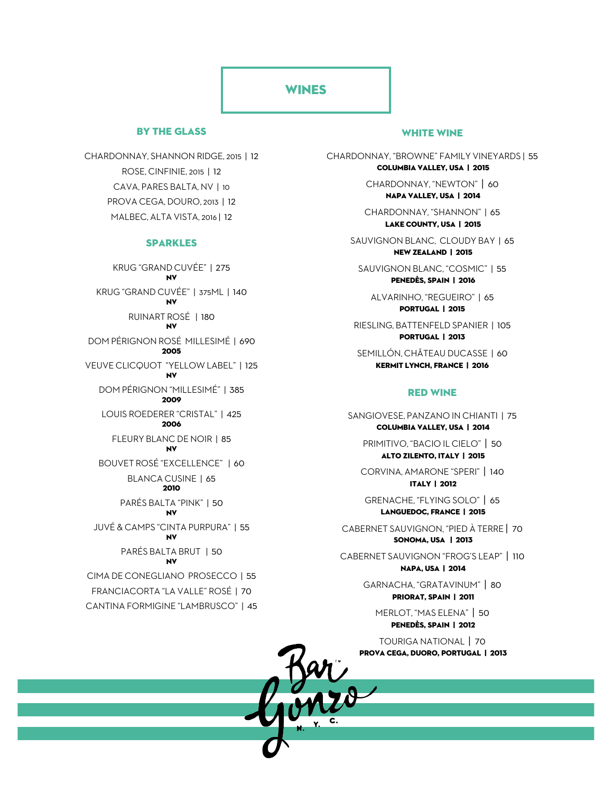### **WINES**

### By the glass

CHARDONNAY, SHANNON RIDGE, 2015 | 12 ROSE, CINFINIE, 2015 | 12 CAVA, PARES BALTA, NV | 10 PROVA CEGA, DOURO, 2013 | 12 MALBEC, ALTA VISTA, 2016 | 12

#### SPARKLES

KRUG "GRAND CUVÉE" | 275 NV KRUG "GRAND CUVÉE" | 375ML | 140 NV RUINART ROSÉ | 180 NV DOM PÉRIGNON ROSÉ MILLESIMÉ | 690 2005 VEUVE CLICQUOT "YELLOW LABEL" | 125 NV DOM PÉRIGNON "MILLESIMÉ" | 385 2009 LOUIS ROEDERER "CRISTAL" | 425 2006 FLEURY BLANC DE NOIR | 85 NV BOUVET ROSÉ "EXCELLENCE" | 60 BLANCA CUSINE | 65 2010 PARÉS BALTA "PINK" | 50 NV JUVÉ & CAMPS "CINTA PURPURA" | 55 NV PARÉS BALTA BRUT | 50 NV CIMA DE CONEGLIANO PROSECCO | 55 FRANCIACORTA "LA VALLE" ROSÉ | 70 CANTINA FORMIGINE "LAMBRUSCO" | 45

#### WHITE WINE

CHARDONNAY, "BROWNE" FAMILY VINEYARDS | 55 COLUMBIA VALLEY, USA | 2015

> CHARDONNAY, "NEWTON" | 60 NAPA VALLEY, USA | 2014

CHARDONNAY, "SHANNON" | 65 LAKE COUNTY, USA | 2015

SAUVIGNON BLANC, CLOUDY BAY | 65 NEW ZEALAND | 2015

SAUVIGNON BLANC, "COSMIC" | 55 PENEDÈS, SPAIN | 2016

ALVARINHO, "REGUEIRO" | 65 PORTUGAL | 2015

RIESLING, BATTENFELD SPANIER | 105 PORTUGAL | 2013

SEMILLÓN, CHÃTEAU DUCASSE | 60 KERMIT LYNCH, FRANCE | 2016

#### RED WINE

SANGIOVESE, PANZANO IN CHIANTI | 75 COLUMBIA VALLEY, USA | 2014

PRIMITIVO, "BACIO IL CIELO" | 50 ALTO ZILENTO, ITALY | 2015

CORVINA, AMARONE "SPERI" | 140 ITALY | 2012

GRENACHE, "FLYING SOLO" | 65 LANGUEDOC, FRANCE | 2015

CABERNET SAUVIGNON, "PIED À TERRE | 70 SONOMA, USA | 2013

CABERNET SAUVIGNON "FROG'S LEAP" | 110 NAPA, USA | 2014

> GARNACHA, "GRATAVINUM" | 80 PRIORAT, SPAIN | 2011

MERLOT, "MAS ELENA" | 50 PENEDÈS, SPAIN | 2012

TOURIGA NATIONAL | 70 PROVA CEGA, DUORO, PORTUGAL | 2013

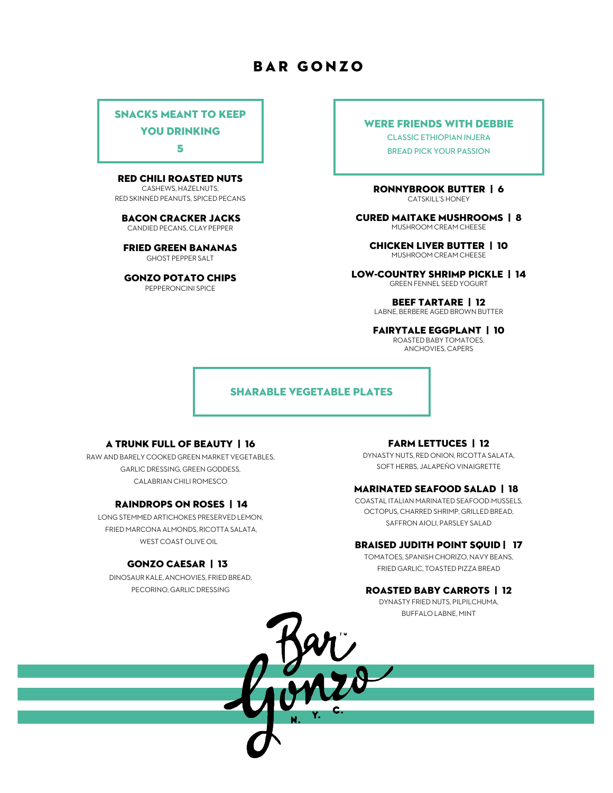# Bar gonzo

### Snacks Meant to Keep

YOU DRINKING

5

#### RED CHILI ROASTED NUTS

CASHEWS, HAZELNUTS, RED SKINNED PEANUTS, SPICED PECANS

BACON CRACKER jacks CANDIED PECANS, CLAY PEPPER

FRIED GREEN BANANAS GHOST PEPPER SALT

Gonzo POTATO CHIPS PEPPERONCINI SPICE

#### Were Friends with Debbie

**CLASSIC ETHIOPIAN INJERA BREAD PICK YOUR PASSION** 

RONNYBROOK BUTTER | 6 CATSKILL'S HONEY

CURED MAITAKE MUSHROOMS | 8 MUSHROOM CREAM CHEESE

CHICKEN LIVER BUTTER | 10 MUSHROOM CREAM CHEESE

LOW-COUNTRY SHRIMP PICKLE | 14 GREEN FENNEL SEED YOGURT

> BEEF TARTARE | 12 LABNE, BERBERE AGED BROWN BUTTER

FAIRYTALE Eggplant | 10 ROASTED BABY TOMATOES, ANCHOVIES, CAPERS

#### Sharable Vegetable Plates

#### A TRUNK FULL OF BEAUTY | 16

RAW AND BARELY COOKED GREEN MARKET VEGETABLES, GARLIC DRESSING, GREEN GODDESS, CALABRIAN CHILI ROMESCO

#### RAINDROPS ON ROSES | 14

LONG STEMMED ARTICHOKES PRESERVED LEMON, FRIED MARCONA ALMONDS, RICOTTA SALATA, WEST COAST OLIVE OIL

#### GONZO CAESAR | 13

DINOSAUR KALE, ANCHOVIES, FRIED BREAD, PECORINO, GARLIC DRESSING

#### FARM LETTUCES | 12

DYNASTY NUTS, RED ONION, RICOTTA SALATA, SOFT HERBS, JALAPEÑO VINAIGRETTE

#### MARINATED SEAFOOD SALAD | 18

COASTAL ITALIAN MARINATED SEAFOOD-MUSSELS, OCTOPUS, CHARRED SHRIMP, GRILLED BREAD, SAFFRON AIOLI, PARSLEY SALAD

#### BRAISED JUDITH POINT SQUID | 17

TOMATOES, SPANISH CHORIZO, NAVY BEANS, FRIED GARLIC, TOASTED PIZZA BREAD

#### ROASTED BABY CARROTS | 12

DYNASTY FRIED NUTS, PILPILCHUMA, BUFFALO LABNE, MINT

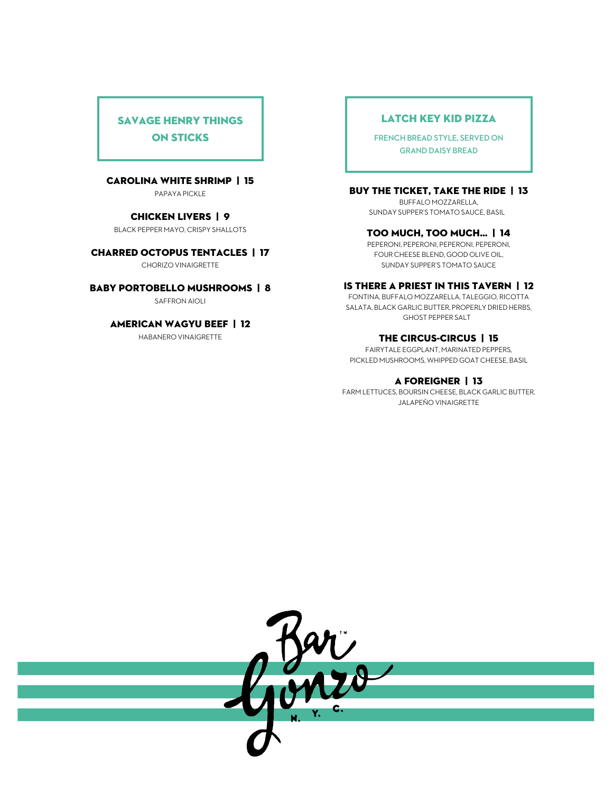## Savage Henry Things on Sticks

#### CAROLINA WHITE SHRIMP | 15

PAPAYA PICKLE

#### CHICKEN LIVERS | 9

BLACK PEPPER MAYO, CRISPY SHALLOTS

#### CHARRED OCTOPUS TENTACLES | 17

CHORIZO VINAIGRETTE

#### BABY PORTOBELLO MUSHROOMS | 8

SAFFRON AIOLI

#### AMERICAN WAGYU BEEF | 12

HABANERO VINAIGRETTE

### Latch Key Kid Pizza

**FRENCH BREAD STYLE, SERVED ON GRAND DAISY BREAD**

### BUY THE TICKET, TAKE THE RIDE | 13

BUFFALO MOZZARELLA, SUNDAY SUPPER'S TOMATO SAUCE, BASIL

#### TOO MUCH, TOO MUCH… | 14

PEPERONI, PEPERONI, PEPERONI, PEPERONI, FOUR CHEESE BLEND, GOOD OLIVE OIL, SUNDAY SUPPER'S TOMATO SAUCE

#### IS THERE A PRIEST IN THIS TAVERN | 12

FONTINA, BUFFALO MOZZARELLA, TALEGGIO, RICOTTA SALATA, BLACK GARLIC BUTTER, PROPERLY DRIED HERBS, GHOST PEPPER SALT

### THE CIRCUS-CIRCUS | 15

FAIRYTALE EGGPLANT, MARINATED PEPPERS, PICKLED MUSHROOMS, WHIPPED GOAT CHEESE, BASIL

#### A FOREIGNER | 13

FARM LETTUCES, BOURSIN CHEESE, BLACK GARLIC BUTTER, JALAPEÑO VINAIGRETTE

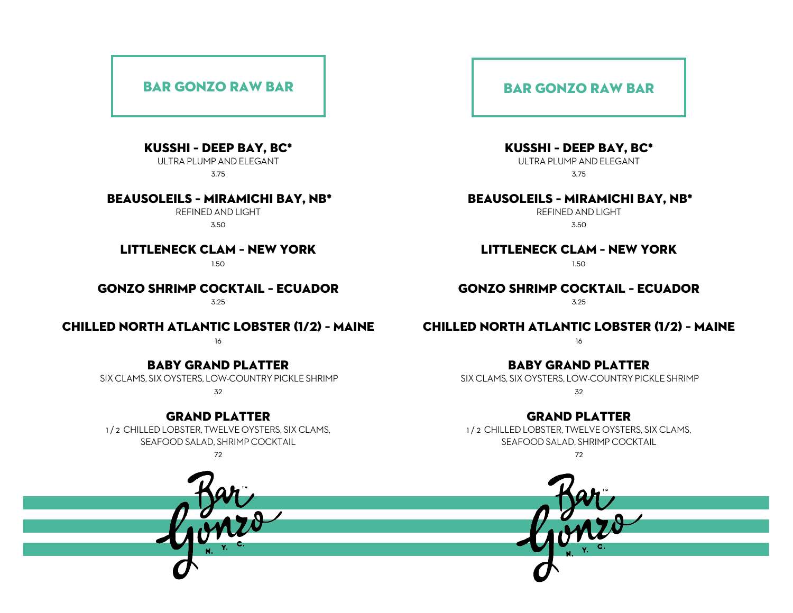## Bar gonzo Raw Bar

### Kusshi – Deep Bay, BC\*

ULTRA PLUMP AND ELEGANT 3.75

### Beausoleils – miramichi bay, nb\*

REFINED AND LIGHT 3.50

## Littleneck Clam – New York

1.50

# Gonzo Shrimp Cocktail – Ecuador

3.25

## Chilled North Atlantic Lobster (1/2) – Maine

16

### Baby GRAND PLATTER

SIX CLAMS, SIX OYSTERS, LOW-COUNTRY PICKLE SHRIMP

32

### GRAND PLATTER

1 / 2 CHILLED LOBSTER, TWELVE OYSTERS, SIX CLAMS, SEAFOOD SALAD, SHRIMP COCKTAIL

72

## Bar gonzo Raw Bar

Kusshi – Deep Bay, BC\*

ULTRA PLUMP AND ELEGANT 3.75

## Beausoleils – miramichi bay, nb\*

REFINED AND LIGHT 3.50

### Littleneck Clam – New York

1.50

## Gonzo Shrimp Cocktail – Ecuador

3.25

## Chilled North Atlantic Lobster (1/2) – Maine

16

## Baby GRAND PLATTER

SIX CLAMS, SIX OYSTERS, LOW-COUNTRY PICKLE SHRIMP 32

## GRAND PLATTER

1 / 2 CHILLED LOBSTER, TWELVE OYSTERS, SIX CLAMS, SEAFOOD SALAD, SHRIMP COCKTAIL

72

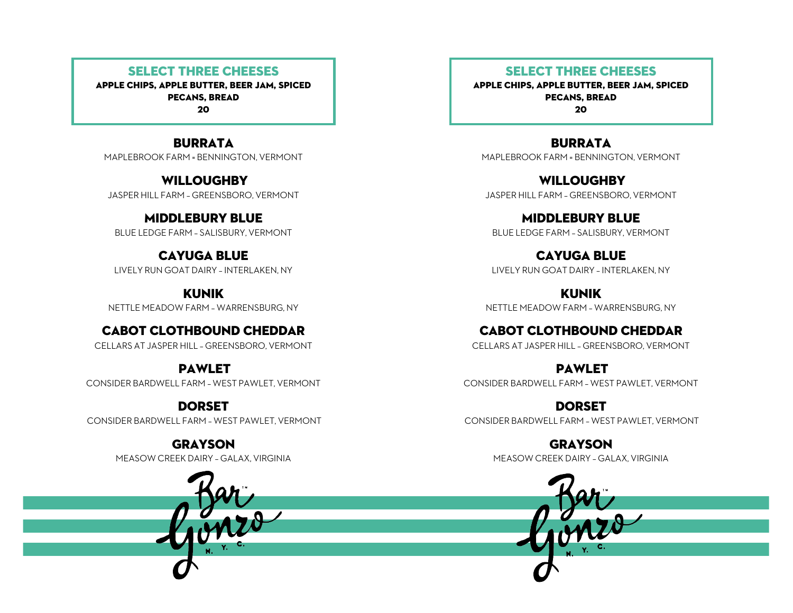## Select three cheeses

apple chips, apple butter, beer jam, spiced pecans, bread 20

**BURRATA** MAPLEBROOK FARM = BENNINGTON, VERMONT

**WILLOUGHBY** JASPER HILL FARM – GREENSBORO, VERMONT

MIDDLEBURY BLUE BLUE LEDGE FARM – SALISBURY, VERMONT

CAYUGA BLUE LIVELY RUN GOAT DAIRY –INTERLAKEN, NY

KUNIK NETTLE MEADOW FARM – WARRENSBURG, NY

## CABOT CLOTHBOUND CHEDDAR

CELLARS AT JASPER HILL – GREENSBORO, VERMONT

## PAWLET

CONSIDER BARDWELL FARM – WEST PAWLET, VERMONT

DORSET

CONSIDER BARDWELL FARM – WEST PAWLET, VERMONT

GRAYSON MEASOW CREEK DAIRY – GALAX, VIRGINIA



apple chips, apple butter, beer jam, spiced pecans, bread 20

**BURRATA** MAPLEBROOK FARM = BENNINGTON, VERMONT

**WILLOUGHBY** JASPER HILL FARM – GREENSBORO, VERMONT

MIDDLEBURY BLUE BLUE LEDGE FARM – SALISBURY, VERMONT

CAYUGA BLUE LIVELY RUN GOAT DAIRY –INTERLAKEN, NY

KUNIK NETTLE MEADOW FARM – WARRENSBURG, NY

CABOT CLOTHBOUND CHEDDAR CELLARS AT JASPER HILL – GREENSBORO, VERMONT

**PAWLET** CONSIDER BARDWELL FARM – WEST PAWLET, VERMONT

DORSET CONSIDER BARDWELL FARM – WEST PAWLET, VERMONT

> GRAYSON MEASOW CREEK DAIRY – GALAX, VIRGINIA